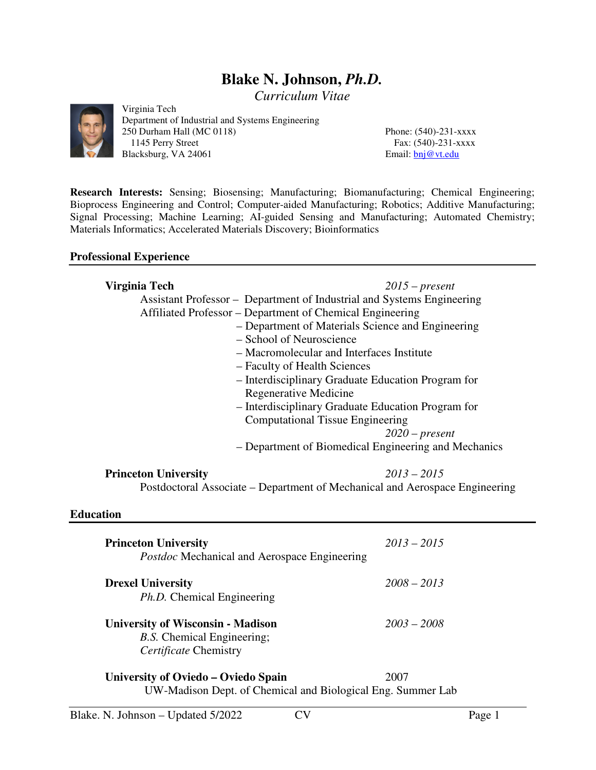# **Blake N. Johnson,** *Ph.D.*

*Curriculum Vitae* 



Virginia Tech Department of Industrial and Systems Engineering 250 Durham Hall (MC 0118) Phone: (540)-231-xxxx 1145 Perry Street Fax: (540)-231-xxxx Blacksburg, VA 24061 Email: **bnj** @vt.edu

**Research Interests:** Sensing; Biosensing; Manufacturing; Biomanufacturing; Chemical Engineering; Bioprocess Engineering and Control; Computer-aided Manufacturing; Robotics; Additive Manufacturing; Signal Processing; Machine Learning; AI-guided Sensing and Manufacturing; Automated Chemistry; Materials Informatics; Accelerated Materials Discovery; Bioinformatics

#### **Professional Experience**

| Virginia Tech                                                               | $2015$ – present                                     |
|-----------------------------------------------------------------------------|------------------------------------------------------|
| Assistant Professor – Department of Industrial and Systems Engineering      |                                                      |
| Affiliated Professor - Department of Chemical Engineering                   |                                                      |
| - Department of Materials Science and Engineering                           |                                                      |
| - School of Neuroscience                                                    |                                                      |
| - Macromolecular and Interfaces Institute                                   |                                                      |
| - Faculty of Health Sciences                                                |                                                      |
| - Interdisciplinary Graduate Education Program for                          |                                                      |
| Regenerative Medicine                                                       |                                                      |
| - Interdisciplinary Graduate Education Program for                          |                                                      |
| <b>Computational Tissue Engineering</b>                                     |                                                      |
|                                                                             | $2020$ – present                                     |
|                                                                             | - Department of Biomedical Engineering and Mechanics |
|                                                                             |                                                      |
| <b>Princeton University</b>                                                 | $2013 - 2015$                                        |
| Postdoctoral Associate – Department of Mechanical and Aerospace Engineering |                                                      |
|                                                                             |                                                      |
| <b>Education</b>                                                            |                                                      |
|                                                                             |                                                      |
| <b>Princeton University</b>                                                 | $2013 - 2015$                                        |
| Postdoc Mechanical and Aerospace Engineering                                |                                                      |
|                                                                             |                                                      |
| <b>Drexel University</b>                                                    | $2008 - 2013$                                        |
| Ph.D. Chemical Engineering                                                  |                                                      |
|                                                                             |                                                      |
| <b>University of Wisconsin - Madison</b>                                    | $2003 - 2008$                                        |
| B.S. Chemical Engineering;                                                  |                                                      |
| Certificate Chemistry                                                       |                                                      |
| University of Oviedo - Oviedo Spain                                         | 2007                                                 |
| UW-Madison Dept. of Chemical and Biological Eng. Summer Lab                 |                                                      |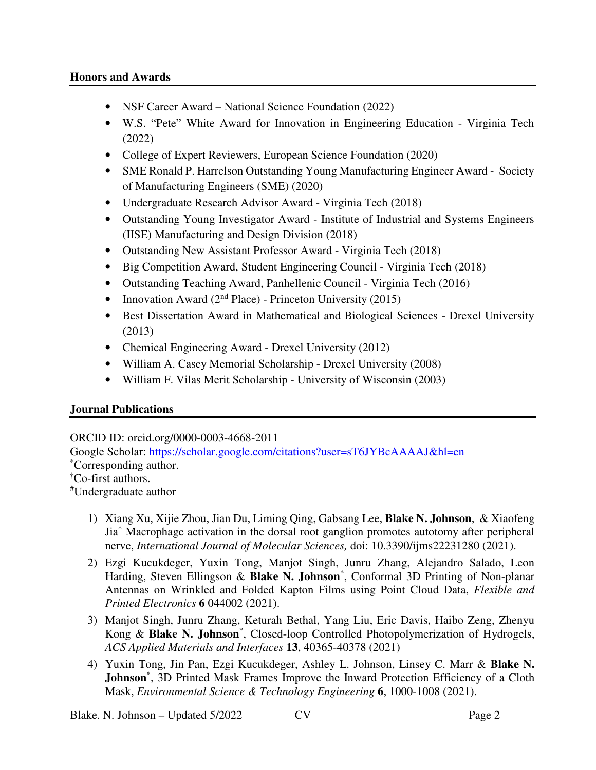- NSF Career Award National Science Foundation (2022)
- W.S. "Pete" White Award for Innovation in Engineering Education Virginia Tech (2022)
- College of Expert Reviewers, European Science Foundation (2020)
- SME Ronald P. Harrelson Outstanding Young Manufacturing Engineer Award Society of Manufacturing Engineers (SME) (2020)
- Undergraduate Research Advisor Award Virginia Tech (2018)
- Outstanding Young Investigator Award Institute of Industrial and Systems Engineers (IISE) Manufacturing and Design Division (2018)
- Outstanding New Assistant Professor Award Virginia Tech (2018)
- Big Competition Award, Student Engineering Council Virginia Tech (2018)
- Outstanding Teaching Award, Panhellenic Council Virginia Tech (2016)
- Innovation Award ( $2<sup>nd</sup> Place$ ) Princeton University (2015)
- Best Dissertation Award in Mathematical and Biological Sciences Drexel University (2013)
- Chemical Engineering Award Drexel University (2012)
- William A. Casey Memorial Scholarship Drexel University (2008)
- William F. Vilas Merit Scholarship University of Wisconsin (2003)

# **Journal Publications**

ORCID ID: orcid.org/0000-0003-4668-2011

Google Scholar: https://scholar.google.com/citations?user=sT6JYBcAAAAJ&hl=en **\***Corresponding author. **†**Co-first authors. #Undergraduate author

- 1) Xiang Xu, Xijie Zhou, Jian Du, Liming Qing, Gabsang Lee, **Blake N. Johnson**, & Xiaofeng Jia\* Macrophage activation in the dorsal root ganglion promotes autotomy after peripheral nerve, *International Journal of Molecular Sciences,* doi: 10.3390/ijms22231280 (2021).
- 2) Ezgi Kucukdeger, Yuxin Tong, Manjot Singh, Junru Zhang, Alejandro Salado, Leon Harding, Steven Ellingson & **Blake N. Johnson**\* , Conformal 3D Printing of Non-planar Antennas on Wrinkled and Folded Kapton Films using Point Cloud Data, *Flexible and Printed Electronics* **6** 044002 (2021).
- 3) Manjot Singh, Junru Zhang, Keturah Bethal, Yang Liu, Eric Davis, Haibo Zeng, Zhenyu Kong & **Blake N. Johnson**\* , Closed-loop Controlled Photopolymerization of Hydrogels, *ACS Applied Materials and Interfaces* **13**, 40365-40378 (2021)
- 4) Yuxin Tong, Jin Pan, Ezgi Kucukdeger, Ashley L. Johnson, Linsey C. Marr & **Blake N.**  Johnson<sup>\*</sup>, 3D Printed Mask Frames Improve the Inward Protection Efficiency of a Cloth Mask, *Environmental Science & Technology Engineering* **6**, 1000-1008 (2021).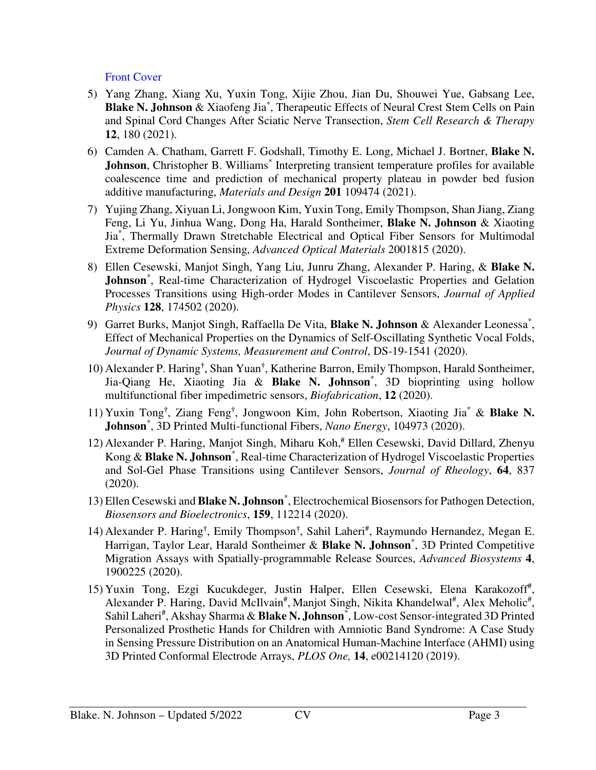# Front Cover

- 5) Yang Zhang, Xiang Xu, Yuxin Tong, Xijie Zhou, Jian Du, Shouwei Yue, Gabsang Lee, Blake N. Johnson & Xiaofeng Jia<sup>\*</sup>, Therapeutic Effects of Neural Crest Stem Cells on Pain and Spinal Cord Changes After Sciatic Nerve Transection, *Stem Cell Research & Therapy* **12**, 180 (2021).
- 6) Camden A. Chatham, Garrett F. Godshall, Timothy E. Long, Michael J. Bortner, **Blake N.**  Johnson, Christopher B. Williams<sup>\*</sup> Interpreting transient temperature profiles for available coalescence time and prediction of mechanical property plateau in powder bed fusion additive manufacturing, *Materials and Design* **201** 109474 (2021).
- 7) Yujing Zhang, Xiyuan Li, Jongwoon Kim, Yuxin Tong, Emily Thompson, Shan Jiang, Ziang Feng, Li Yu, Jinhua Wang, Dong Ha, Harald Sontheimer, **Blake N. Johnson** & Xiaoting Jia\* , Thermally Drawn Stretchable Electrical and Optical Fiber Sensors for Multimodal Extreme Deformation Sensing, *Advanced Optical Materials* 2001815 (2020).
- 8) Ellen Cesewski, Manjot Singh, Yang Liu, Junru Zhang, Alexander P. Haring, & **Blake N.**  Johnson<sup>\*</sup>, Real-time Characterization of Hydrogel Viscoelastic Properties and Gelation Processes Transitions using High-order Modes in Cantilever Sensors, *Journal of Applied Physics* **128**, 174502 (2020).
- 9) Garret Burks, Manjot Singh, Raffaella De Vita, **Blake N. Johnson** & Alexander Leonessa\* , Effect of Mechanical Properties on the Dynamics of Self-Oscillating Synthetic Vocal Folds, *Journal of Dynamic Systems, Measurement and Control*, DS-19-1541 (2020).
- 10) Alexander P. Haring**†** , Shan Yuan**†** , Katherine Barron, Emily Thompson, Harald Sontheimer, Jia-Qiang He, Xiaoting Jia & **Blake N. Johnson**\* , 3D bioprinting using hollow multifunctional fiber impedimetric sensors, *Biofabrication*, **12** (2020).
- 11) Yuxin Tong**†** , Ziang Feng**†** , Jongwoon Kim, John Robertson, Xiaoting Jia\* & **Blake N. Johnson**\* , 3D Printed Multi-functional Fibers, *Nano Energy*, 104973 (2020).
- 12) Alexander P. Haring, Manjot Singh, Miharu Koh,<sup>#</sup> Ellen Cesewski, David Dillard, Zhenyu Kong & **Blake N. Johnson**\* , Real-time Characterization of Hydrogel Viscoelastic Properties and Sol-Gel Phase Transitions using Cantilever Sensors, *Journal of Rheology*, **64**, 837 (2020).
- 13) Ellen Cesewski and **Blake N. Johnson**\* , Electrochemical Biosensors for Pathogen Detection, *Biosensors and Bioelectronics*, **159**, 112214 (2020).
- 14) Alexander P. Haring<sup>†</sup>, Emily Thompson<sup>†</sup>, Sahil Laheri<sup>#</sup>, Raymundo Hernandez, Megan E. Harrigan, Taylor Lear, Harald Sontheimer & **Blake N. Johnson**\* , 3D Printed Competitive Migration Assays with Spatially-programmable Release Sources, *Advanced Biosystems* **4**, 1900225 (2020).
- 15) Yuxin Tong, Ezgi Kucukdeger, Justin Halper, Ellen Cesewski, Elena Karakozoff<sup>#</sup>, Alexander P. Haring, David McIlvain<sup>#</sup>, Manjot Singh, Nikita Khandelwal<sup>#</sup>, Alex Meholic<sup>#</sup>, Sahil Laheri<sup>#</sup>, Akshay Sharma & Blake N. Johnson<sup>\*</sup>, Low-cost Sensor-integrated 3D Printed Personalized Prosthetic Hands for Children with Amniotic Band Syndrome: A Case Study in Sensing Pressure Distribution on an Anatomical Human-Machine Interface (AHMI) using 3D Printed Conformal Electrode Arrays, *PLOS One,* **14**, e00214120 (2019).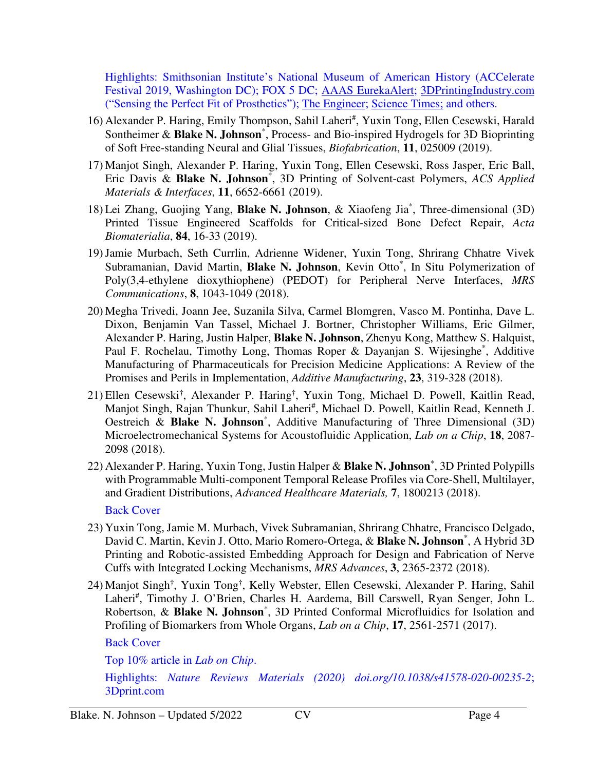Highlights: Smithsonian Institute's National Museum of American History (ACCelerate Festival 2019, Washington DC); FOX 5 DC; AAAS EurekaAlert; 3DPrintingIndustry.com ("Sensing the Perfect Fit of Prosthetics"); The Engineer; Science Times; and others.

- 16) Alexander P. Haring, Emily Thompson, Sahil Laheri#, Yuxin Tong, Ellen Cesewski, Harald Sontheimer & **Blake N. Johnson**\* , Process- and Bio-inspired Hydrogels for 3D Bioprinting of Soft Free-standing Neural and Glial Tissues, *Biofabrication*, **11**, 025009 (2019).
- 17) Manjot Singh, Alexander P. Haring, Yuxin Tong, Ellen Cesewski, Ross Jasper, Eric Ball, Eric Davis & **Blake N. Johnson**\* , 3D Printing of Solvent-cast Polymers, *ACS Applied Materials & Interfaces*, **11**, 6652-6661 (2019).
- 18) Lei Zhang, Guojing Yang, **Blake N. Johnson**, & Xiaofeng Jia\* , Three-dimensional (3D) Printed Tissue Engineered Scaffolds for Critical-sized Bone Defect Repair, *Acta Biomaterialia*, **84**, 16-33 (2019).
- 19)Jamie Murbach, Seth Currlin, Adrienne Widener, Yuxin Tong, Shrirang Chhatre Vivek Subramanian, David Martin, Blake N. Johnson, Kevin Otto\*, In Situ Polymerization of Poly(3,4-ethylene dioxythiophene) (PEDOT) for Peripheral Nerve Interfaces, *MRS Communications*, **8**, 1043-1049 (2018).
- 20) Megha Trivedi, Joann Jee, Suzanila Silva, Carmel Blomgren, Vasco M. Pontinha, Dave L. Dixon, Benjamin Van Tassel, Michael J. Bortner, Christopher Williams, Eric Gilmer, Alexander P. Haring, Justin Halper, **Blake N. Johnson**, Zhenyu Kong, Matthew S. Halquist, Paul F. Rochelau, Timothy Long, Thomas Roper & Dayanjan S. Wijesinghe\*, Additive Manufacturing of Pharmaceuticals for Precision Medicine Applications: A Review of the Promises and Perils in Implementation, *Additive Manufacturing*, **23**, 319-328 (2018).
- 21) Ellen Cesewski**†** , Alexander P. Haring**†** , Yuxin Tong, Michael D. Powell, Kaitlin Read, Manjot Singh, Rajan Thunkur, Sahil Laheri<sup>#</sup>, Michael D. Powell, Kaitlin Read, Kenneth J. Oestreich & **Blake N. Johnson**\* , Additive Manufacturing of Three Dimensional (3D) Microelectromechanical Systems for Acoustofluidic Application, *Lab on a Chip*, **18**, 2087- 2098 (2018).
- 22) Alexander P. Haring, Yuxin Tong, Justin Halper & **Blake N. Johnson**\* , 3D Printed Polypills with Programmable Multi-component Temporal Release Profiles via Core-Shell, Multilayer, and Gradient Distributions, *Advanced Healthcare Materials,* **7**, 1800213 (2018).

Back Cover

- 23) Yuxin Tong, Jamie M. Murbach, Vivek Subramanian, Shrirang Chhatre, Francisco Delgado, David C. Martin, Kevin J. Otto, Mario Romero-Ortega, & **Blake N. Johnson**\* , A Hybrid 3D Printing and Robotic-assisted Embedding Approach for Design and Fabrication of Nerve Cuffs with Integrated Locking Mechanisms, *MRS Advances*, **3**, 2365-2372 (2018).
- 24) Manjot Singh**†** , Yuxin Tong**†** , Kelly Webster, Ellen Cesewski, Alexander P. Haring, Sahil Laheri<sup>#</sup>, Timothy J. O'Brien, Charles H. Aardema, Bill Carswell, Ryan Senger, John L. Robertson, & **Blake N. Johnson**\* , 3D Printed Conformal Microfluidics for Isolation and Profiling of Biomarkers from Whole Organs, *Lab on a Chip*, **17**, 2561-2571 (2017).

Back Cover

Top 10% article in *Lab on Chip*.

Highlights: *Nature Reviews Materials (2020) doi.org/10.1038/s41578-020-00235-2*; 3Dprint.com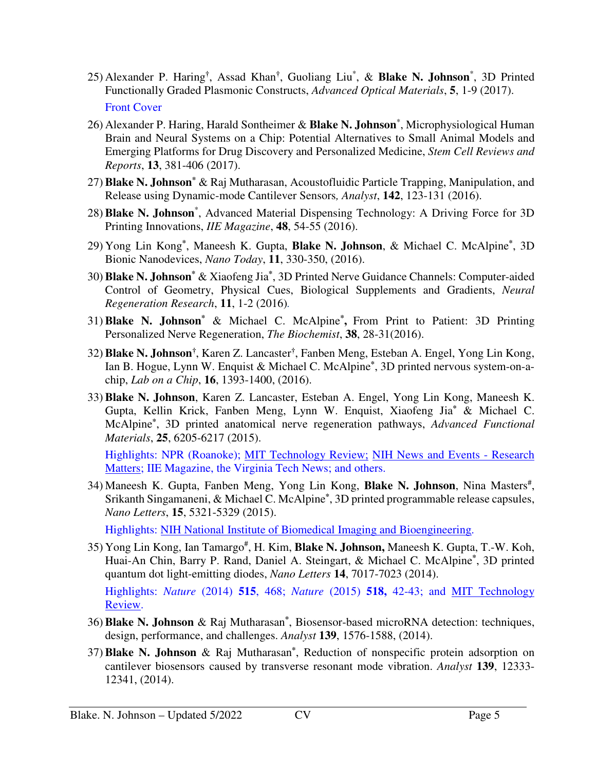- 25) Alexander P. Haring**†** , Assad Khan**†** , Guoliang Liu\* , & **Blake N. Johnson**\* , 3D Printed Functionally Graded Plasmonic Constructs, *Advanced Optical Materials*, **5**, 1-9 (2017). Front Cover
- 26) Alexander P. Haring, Harald Sontheimer & **Blake N. Johnson**\* , Microphysiological Human Brain and Neural Systems on a Chip: Potential Alternatives to Small Animal Models and Emerging Platforms for Drug Discovery and Personalized Medicine, *Stem Cell Reviews and Reports*, **13**, 381-406 (2017).
- 27) **Blake N. Johnson\*** & Raj Mutharasan, Acoustofluidic Particle Trapping, Manipulation, and Release using Dynamic-mode Cantilever Sensors*, Analyst*, **142**, 123-131 (2016).
- 28) **Blake N. Johnson**\* , Advanced Material Dispensing Technology: A Driving Force for 3D Printing Innovations, *IIE Magazine*, **48**, 54-55 (2016).
- 29) Yong Lin Kong**\*** , Maneesh K. Gupta, **Blake N. Johnson**, & Michael C. McAlpine**\*** , 3D Bionic Nanodevices, *Nano Today*, **11**, 330-350, (2016).
- 30) **Blake N. Johnson\*** & Xiaofeng Jia**\*** , 3D Printed Nerve Guidance Channels: Computer-aided Control of Geometry, Physical Cues, Biological Supplements and Gradients, *Neural Regeneration Research*, **11**, 1-2 (2016)*.*
- 31) **Blake N. Johnson\*** & Michael C. McAlpine**\* ,** From Print to Patient: 3D Printing Personalized Nerve Regeneration, *The Biochemist*, **38**, 28-31(2016).
- 32) **Blake N. Johnson†** , Karen Z. Lancaster**†** , Fanben Meng, Esteban A. Engel, Yong Lin Kong, Ian B. Hogue, Lynn W. Enquist & Michael C. McAlpine**\*** , 3D printed nervous system-on-achip, *Lab on a Chip*, **16**, 1393-1400, (2016).
- 33) **Blake N. Johnson**, Karen Z. Lancaster, Esteban A. Engel, Yong Lin Kong, Maneesh K. Gupta, Kellin Krick, Fanben Meng, Lynn W. Enquist, Xiaofeng Jia**\*** & Michael C. McAlpine**\*** , 3D printed anatomical nerve regeneration pathways, *Advanced Functional Materials*, **25**, 6205-6217 (2015).

Highlights: NPR (Roanoke); MIT Technology Review; NIH News and Events - Research Matters; IIE Magazine, the Virginia Tech News; and others.

34) Maneesh K. Gupta, Fanben Meng, Yong Lin Kong, Blake N. Johnson, Nina Masters<sup>#</sup>, Srikanth Singamaneni, & Michael C. McAlpine**\*** , 3D printed programmable release capsules, *Nano Letters*, **15**, 5321-5329 (2015).

Highlights: NIH National Institute of Biomedical Imaging and Bioengineering.

35) Yong Lin Kong, Ian Tamargo# , H. Kim, **Blake N. Johnson,** Maneesh K. Gupta, T.-W. Koh, Huai-An Chin, Barry P. Rand, Daniel A. Steingart, & Michael C. McAlpine**\*** , 3D printed quantum dot light-emitting diodes, *Nano Letters* **14**, 7017-7023 (2014). Highlights: *Nature* (2014) **515**, 468; *Nature* (2015) **518,** 42-43; and MIT Technology

Review.

- 36) **Blake N. Johnson** & Raj Mutharasan**\*** , Biosensor-based microRNA detection: techniques, design, performance, and challenges. *Analyst* **139**, 1576-1588, (2014).
- 37) **Blake N. Johnson** & Raj Mutharasan**\*** , Reduction of nonspecific protein adsorption on cantilever biosensors caused by transverse resonant mode vibration. *Analyst* **139**, 12333- 12341, (2014).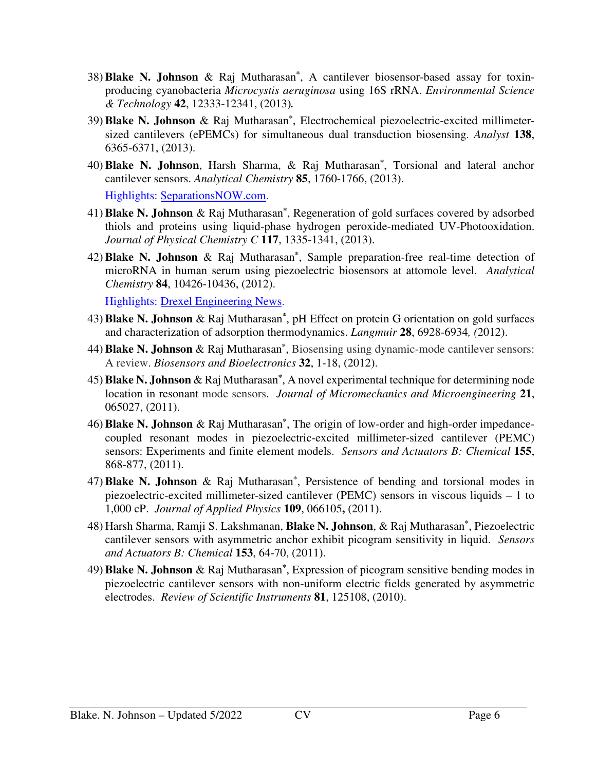- 38) **Blake N. Johnson** & Raj Mutharasan**\*** , A cantilever biosensor-based assay for toxinproducing cyanobacteria *Microcystis aeruginosa* using 16S rRNA. *Environmental Science & Technology* **42**, 12333-12341, (2013)*.*
- 39) **Blake N. Johnson** & Raj Mutharasan**\*** , Electrochemical piezoelectric-excited millimetersized cantilevers (ePEMCs) for simultaneous dual transduction biosensing. *Analyst* **138**, 6365-6371, (2013).
- 40) **Blake N. Johnson**, Harsh Sharma, & Raj Mutharasan**\*** , Torsional and lateral anchor cantilever sensors. *Analytical Chemistry* **85**, 1760-1766, (2013).

Highlights: SeparationsNOW.com.

- 41) **Blake N. Johnson** & Raj Mutharasan**\*** , Regeneration of gold surfaces covered by adsorbed thiols and proteins using liquid-phase hydrogen peroxide-mediated UV-Photooxidation. *Journal of Physical Chemistry C* **117**, 1335-1341, (2013).
- 42) **Blake N. Johnson** & Raj Mutharasan**\*** , Sample preparation-free real-time detection of microRNA in human serum using piezoelectric biosensors at attomole level. *Analytical Chemistry* **84**, 10426-10436, (2012).

Highlights: Drexel Engineering News.

- 43) **Blake N. Johnson** & Raj Mutharasan**\*** , pH Effect on protein G orientation on gold surfaces and characterization of adsorption thermodynamics. *Langmuir* **28**, 6928-6934*, (*2012).
- 44) **Blake N. Johnson** & Raj Mutharasan**\*** , Biosensing using dynamic-mode cantilever sensors: A review. *Biosensors and Bioelectronics* **32**, 1-18, (2012).
- 45) **Blake N. Johnson** & Raj Mutharasan**\*** , A novel experimental technique for determining node location in resonant mode sensors. *Journal of Micromechanics and Microengineering* **21**, 065027, (2011).
- 46) **Blake N. Johnson** & Raj Mutharasan**\*** , The origin of low-order and high-order impedancecoupled resonant modes in piezoelectric-excited millimeter-sized cantilever (PEMC) sensors: Experiments and finite element models. *Sensors and Actuators B: Chemical* **155**, 868-877, (2011).
- 47) **Blake N. Johnson** & Raj Mutharasan**\*** , Persistence of bending and torsional modes in piezoelectric-excited millimeter-sized cantilever (PEMC) sensors in viscous liquids – 1 to 1,000 cP. *Journal of Applied Physics* **109**, 066105**,** (2011).
- 48) Harsh Sharma, Ramji S. Lakshmanan, **Blake N. Johnson**, & Raj Mutharasan**\*** , Piezoelectric cantilever sensors with asymmetric anchor exhibit picogram sensitivity in liquid. *Sensors and Actuators B: Chemical* **153**, 64-70, (2011).
- 49) **Blake N. Johnson** & Raj Mutharasan**\*** , Expression of picogram sensitive bending modes in piezoelectric cantilever sensors with non-uniform electric fields generated by asymmetric electrodes. *Review of Scientific Instruments* **81**, 125108, (2010).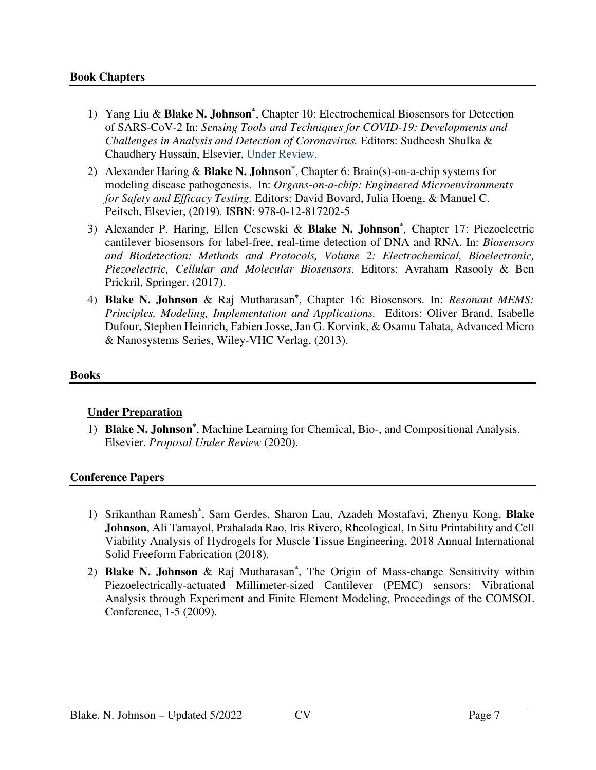- 1) Yang Liu & **Blake N. Johnson\*** , Chapter 10: Electrochemical Biosensors for Detection of SARS-CoV-2 In: *Sensing Tools and Techniques for COVID-19: Developments and Challenges in Analysis and Detection of Coronavirus.* Editors: Sudheesh Shulka & Chaudhery Hussain, Elsevier, Under Review.
- 2) Alexander Haring & **Blake N. Johnson\*** , Chapter 6: Brain(s)-on-a-chip systems for modeling disease pathogenesis. In: *Organs-on-a-chip: Engineered Microenvironments for Safety and Efficacy Testing.* Editors: David Bovard, Julia Hoeng, & Manuel C. Peitsch, Elsevier, (2019)*.* ISBN: 978-0-12-817202-5
- 3) Alexander P. Haring, Ellen Cesewski & **Blake N. Johnson\*** *,* Chapter 17: Piezoelectric cantilever biosensors for label-free, real-time detection of DNA and RNA. In: *Biosensors and Biodetection: Methods and Protocols, Volume 2: Electrochemical, Bioelectronic, Piezoelectric, Cellular and Molecular Biosensors.* Editors: Avraham Rasooly & Ben Prickril, Springer, (2017).
- 4) **Blake N. Johnson** & Raj Mutharasan**\*** , Chapter 16: Biosensors. In: *Resonant MEMS: Principles, Modeling, Implementation and Applications.* Editors: Oliver Brand, Isabelle Dufour, Stephen Heinrich, Fabien Josse, Jan G. Korvink, & Osamu Tabata, Advanced Micro & Nanosystems Series, Wiley-VHC Verlag, (2013).

#### **Books**

# **Under Preparation**

1) **Blake N. Johnson\*** , Machine Learning for Chemical, Bio-, and Compositional Analysis. Elsevier. *Proposal Under Review* (2020).

# **Conference Papers**

- 1) Srikanthan Ramesh\* , Sam Gerdes, Sharon Lau, Azadeh Mostafavi, Zhenyu Kong, **Blake Johnson**, Ali Tamayol, Prahalada Rao, Iris Rivero, Rheological, In Situ Printability and Cell Viability Analysis of Hydrogels for Muscle Tissue Engineering, 2018 Annual International Solid Freeform Fabrication (2018).
- 2) **Blake N. Johnson** & Raj Mutharasan**\*** , The Origin of Mass-change Sensitivity within Piezoelectrically-actuated Millimeter-sized Cantilever (PEMC) sensors: Vibrational Analysis through Experiment and Finite Element Modeling, Proceedings of the COMSOL Conference, 1-5 (2009).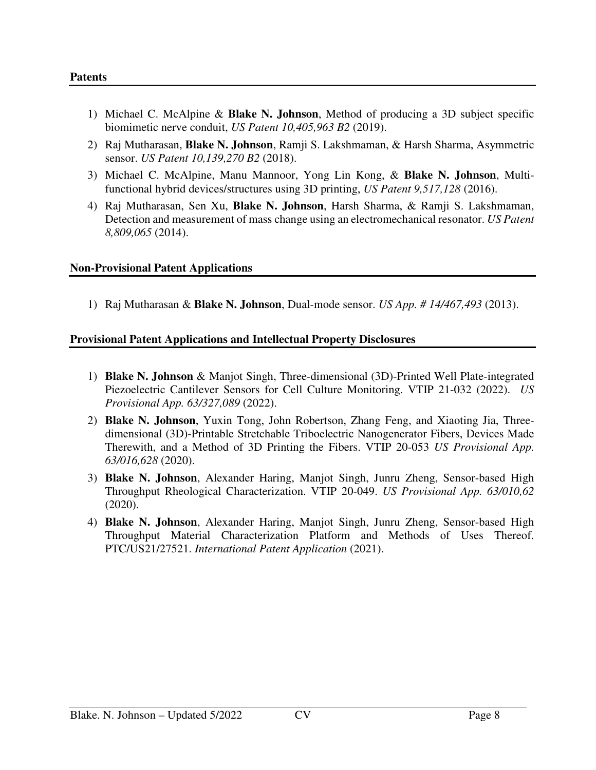- 1) Michael C. McAlpine & **Blake N. Johnson**, Method of producing a 3D subject specific biomimetic nerve conduit, *US Patent 10,405,963 B2* (2019).
- 2) Raj Mutharasan, **Blake N. Johnson**, Ramji S. Lakshmaman, & Harsh Sharma, Asymmetric sensor. *US Patent 10,139,270 B2* (2018).
- 3) Michael C. McAlpine, Manu Mannoor, Yong Lin Kong, & **Blake N. Johnson**, Multifunctional hybrid devices/structures using 3D printing, *US Patent 9,517,128* (2016).
- 4) Raj Mutharasan, Sen Xu, **Blake N. Johnson**, Harsh Sharma, & Ramji S. Lakshmaman, Detection and measurement of mass change using an electromechanical resonator. *US Patent 8,809,065* (2014).

#### **Non-Provisional Patent Applications**

1) Raj Mutharasan & **Blake N. Johnson**, Dual-mode sensor. *US App. # 14/467,493* (2013).

#### **Provisional Patent Applications and Intellectual Property Disclosures**

- 1) **Blake N. Johnson** & Manjot Singh, Three-dimensional (3D)-Printed Well Plate-integrated Piezoelectric Cantilever Sensors for Cell Culture Monitoring. VTIP 21-032 (2022). *US Provisional App. 63/327,089* (2022).
- 2) **Blake N. Johnson**, Yuxin Tong, John Robertson, Zhang Feng, and Xiaoting Jia, Threedimensional (3D)-Printable Stretchable Triboelectric Nanogenerator Fibers, Devices Made Therewith, and a Method of 3D Printing the Fibers. VTIP 20-053 *US Provisional App. 63/016,628* (2020).
- 3) **Blake N. Johnson**, Alexander Haring, Manjot Singh, Junru Zheng, Sensor-based High Throughput Rheological Characterization. VTIP 20-049. *US Provisional App. 63/010,62* (2020).
- 4) **Blake N. Johnson**, Alexander Haring, Manjot Singh, Junru Zheng, Sensor-based High Throughput Material Characterization Platform and Methods of Uses Thereof. PTC/US21/27521. *International Patent Application* (2021).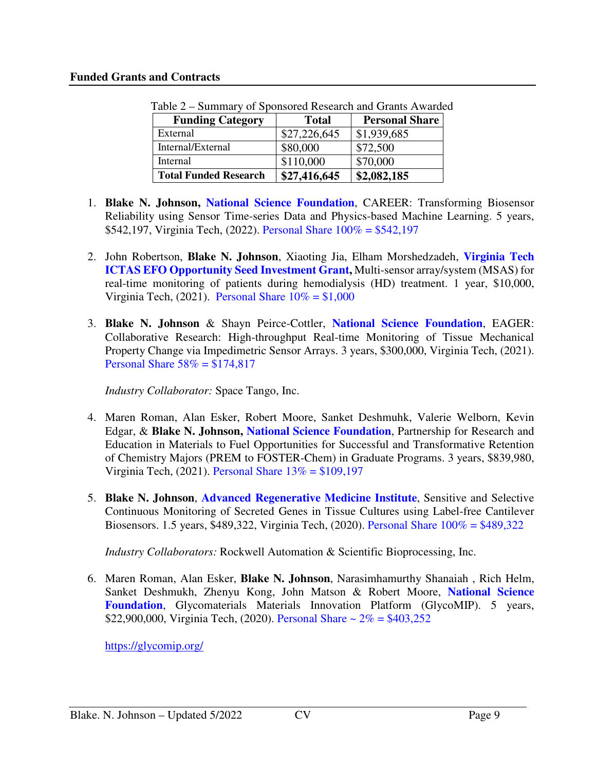#### **Funded Grants and Contracts**

| <b>Funding Category</b>      | <b>Total</b> | <b>Personal Share</b> |
|------------------------------|--------------|-----------------------|
| External                     | \$27,226,645 | \$1,939,685           |
| Internal/External            | \$80,000     | \$72,500              |
| Internal                     | \$110,000    | \$70,000              |
| <b>Total Funded Research</b> | \$27,416,645 | \$2,082,185           |

Table 2 – Summary of Sponsored Research and Grants Awarded

- 1. **Blake N. Johnson, National Science Foundation**, CAREER: Transforming Biosensor Reliability using Sensor Time-series Data and Physics-based Machine Learning. 5 years, \$542,197, Virginia Tech, (2022). Personal Share 100% = \$542,197
- 2. John Robertson, **Blake N. Johnson**, Xiaoting Jia, Elham Morshedzadeh, **Virginia Tech ICTAS EFO Opportunity Seed Investment Grant,** Multi-sensor array/system (MSAS) for real-time monitoring of patients during hemodialysis (HD) treatment. 1 year, \$10,000, Virginia Tech, (2021). Personal Share  $10\% = $1,000$
- 3. **Blake N. Johnson** & Shayn Peirce-Cottler, **National Science Foundation**, EAGER: Collaborative Research: High-throughput Real-time Monitoring of Tissue Mechanical Property Change via Impedimetric Sensor Arrays. 3 years, \$300,000, Virginia Tech, (2021). Personal Share  $58\% = $174,817$

*Industry Collaborator:* Space Tango, Inc.

- 4. Maren Roman, Alan Esker, Robert Moore, Sanket Deshmuhk, Valerie Welborn, Kevin Edgar, & **Blake N. Johnson, National Science Foundation**, Partnership for Research and Education in Materials to Fuel Opportunities for Successful and Transformative Retention of Chemistry Majors (PREM to FOSTER-Chem) in Graduate Programs. 3 years, \$839,980, Virginia Tech, (2021). Personal Share 13% = \$109,197
- 5. **Blake N. Johnson**, **Advanced Regenerative Medicine Institute**, Sensitive and Selective Continuous Monitoring of Secreted Genes in Tissue Cultures using Label-free Cantilever Biosensors. 1.5 years, \$489,322, Virginia Tech, (2020). Personal Share 100% = \$489,322

*Industry Collaborators:* Rockwell Automation & Scientific Bioprocessing, Inc.

6. Maren Roman, Alan Esker, **Blake N. Johnson**, Narasimhamurthy Shanaiah , Rich Helm, Sanket Deshmukh, Zhenyu Kong, John Matson & Robert Moore, **National Science Foundation**, Glycomaterials Materials Innovation Platform (GlycoMIP). 5 years, \$22,900,000, Virginia Tech, (2020). Personal Share  $\sim 2\% = \$403,252$ 

https://glycomip.org/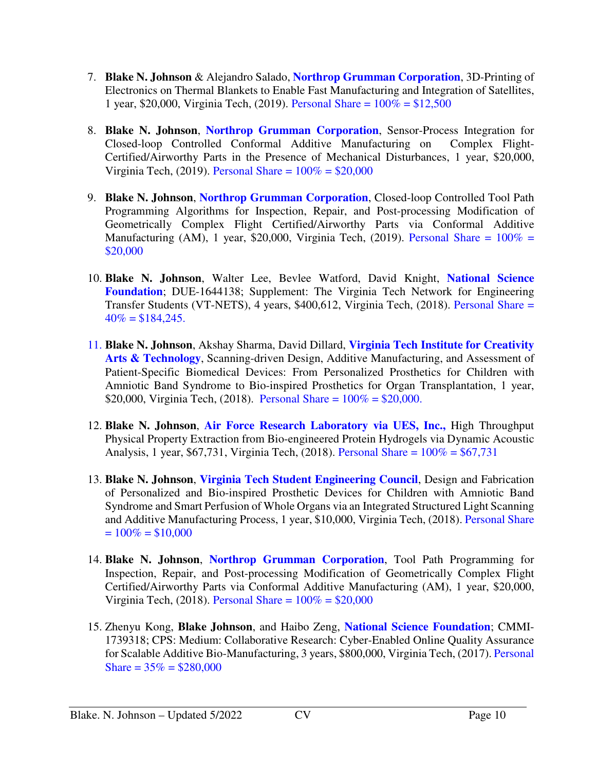- 7. **Blake N. Johnson** & Alejandro Salado, **Northrop Grumman Corporation**, 3D-Printing of Electronics on Thermal Blankets to Enable Fast Manufacturing and Integration of Satellites, 1 year, \$20,000, Virginia Tech, (2019). Personal Share =  $100\% = $12,500$
- 8. **Blake N. Johnson**, **Northrop Grumman Corporation**, Sensor-Process Integration for Closed-loop Controlled Conformal Additive Manufacturing on Certified/Airworthy Parts in the Presence of Mechanical Disturbances, 1 year, \$20,000, Virginia Tech, (2019). Personal Share =  $100\%$  = \$20,000
- 9. **Blake N. Johnson**, **Northrop Grumman Corporation**, Closed-loop Controlled Tool Path Programming Algorithms for Inspection, Repair, and Post-processing Modification of Geometrically Complex Flight Certified/Airworthy Parts via Conformal Additive Manufacturing (AM), 1 year, \$20,000, Virginia Tech, (2019). Personal Share =  $100\%$  = \$20,000
- 10. **Blake N. Johnson**, Walter Lee, Bevlee Watford, David Knight, **National Science Foundation**; DUE-1644138; Supplement: The Virginia Tech Network for Engineering Transfer Students (VT-NETS), 4 years, \$400,612, Virginia Tech, (2018). Personal Share =  $40\% = $184.245$ .
- 11. **Blake N. Johnson**, Akshay Sharma, David Dillard, **Virginia Tech Institute for Creativity Arts & Technology**, Scanning-driven Design, Additive Manufacturing, and Assessment of Patient-Specific Biomedical Devices: From Personalized Prosthetics for Children with Amniotic Band Syndrome to Bio-inspired Prosthetics for Organ Transplantation, 1 year, \$20,000, Virginia Tech, (2018). Personal Share =  $100\%$  = \$20,000.
- 12. **Blake N. Johnson**, **Air Force Research Laboratory via UES, Inc.,** High Throughput Physical Property Extraction from Bio-engineered Protein Hydrogels via Dynamic Acoustic Analysis, 1 year, \$67,731, Virginia Tech, (2018). Personal Share = 100% = \$67,731
- 13. **Blake N. Johnson**, **Virginia Tech Student Engineering Council**, Design and Fabrication of Personalized and Bio-inspired Prosthetic Devices for Children with Amniotic Band Syndrome and Smart Perfusion of Whole Organs via an Integrated Structured Light Scanning and Additive Manufacturing Process, 1 year, \$10,000, Virginia Tech, (2018). Personal Share  $= 100\% = $10,000$
- 14. **Blake N. Johnson**, **Northrop Grumman Corporation**, Tool Path Programming for Inspection, Repair, and Post-processing Modification of Geometrically Complex Flight Certified/Airworthy Parts via Conformal Additive Manufacturing (AM), 1 year, \$20,000, Virginia Tech, (2018). Personal Share =  $100\% = $20,000$
- 15. Zhenyu Kong, **Blake Johnson**, and Haibo Zeng, **National Science Foundation**; CMMI-1739318; CPS: Medium: Collaborative Research: Cyber-Enabled Online Quality Assurance for Scalable Additive Bio-Manufacturing, 3 years, \$800,000, Virginia Tech, (2017). Personal Share =  $35\%$  = \$280,000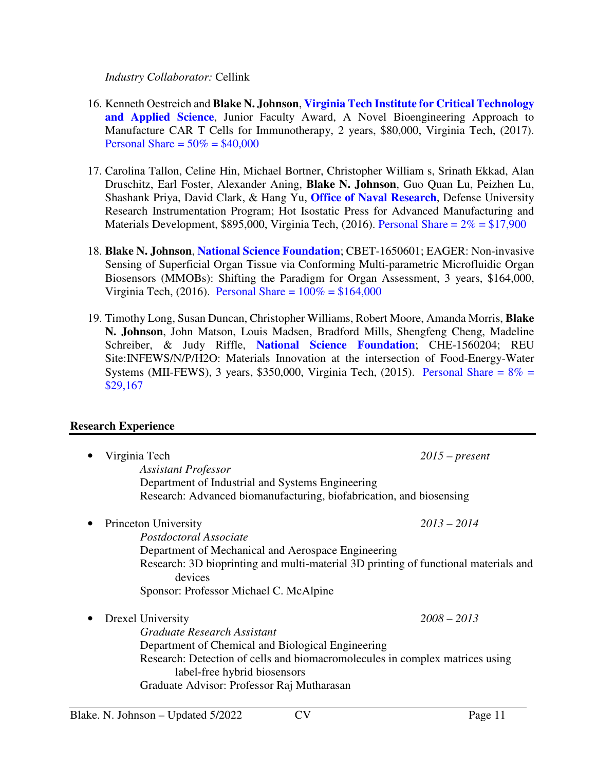*Industry Collaborator:* Cellink

- 16. Kenneth Oestreich and **Blake N. Johnson**, **Virginia Tech Institute for Critical Technology and Applied Science**, Junior Faculty Award, A Novel Bioengineering Approach to Manufacture CAR T Cells for Immunotherapy, 2 years, \$80,000, Virginia Tech, (2017). Personal Share =  $50\% = $40,000$
- 17. Carolina Tallon, Celine Hin, Michael Bortner, Christopher William s, Srinath Ekkad, Alan Druschitz, Earl Foster, Alexander Aning, **Blake N. Johnson**, Guo Quan Lu, Peizhen Lu, Shashank Priya, David Clark, & Hang Yu, **Office of Naval Research**, Defense University Research Instrumentation Program; Hot Isostatic Press for Advanced Manufacturing and Materials Development, \$895,000, Virginia Tech,  $(2016)$ . Personal Share =  $2\%$  = \$17,900
- 18. **Blake N. Johnson**, **National Science Foundation**; CBET-1650601; EAGER: Non-invasive Sensing of Superficial Organ Tissue via Conforming Multi-parametric Microfluidic Organ Biosensors (MMOBs): Shifting the Paradigm for Organ Assessment, 3 years, \$164,000, Virginia Tech, (2016). Personal Share =  $100\% = $164,000$
- 19. Timothy Long, Susan Duncan, Christopher Williams, Robert Moore, Amanda Morris, **Blake N. Johnson**, John Matson, Louis Madsen, Bradford Mills, Shengfeng Cheng, Madeline Schreiber, & Judy Riffle, **National Science Foundation**; CHE-1560204; REU Site:INFEWS/N/P/H2O: Materials Innovation at the intersection of Food-Energy-Water Systems (MII-FEWS), 3 years, \$350,000, Virginia Tech, (2015). Personal Share =  $8\%$  = \$29,167

#### **Research Experience**

|           | Virginia Tech<br><b>Assistant Professor</b><br>Department of Industrial and Systems Engineering<br>Research: Advanced biomanufacturing, biofabrication, and biosensing                                                                                              | $2015$ – present |
|-----------|---------------------------------------------------------------------------------------------------------------------------------------------------------------------------------------------------------------------------------------------------------------------|------------------|
| $\bullet$ | Princeton University<br>Postdoctoral Associate<br>Department of Mechanical and Aerospace Engineering<br>Research: 3D bioprinting and multi-material 3D printing of functional materials and<br>devices<br>Sponsor: Professor Michael C. McAlpine                    | $2013 - 2014$    |
| $\bullet$ | Drexel University<br>Graduate Research Assistant<br>Department of Chemical and Biological Engineering<br>Research: Detection of cells and biomacromolecules in complex matrices using<br>label-free hybrid biosensors<br>Graduate Advisor: Professor Raj Mutharasan | $2008 - 2013$    |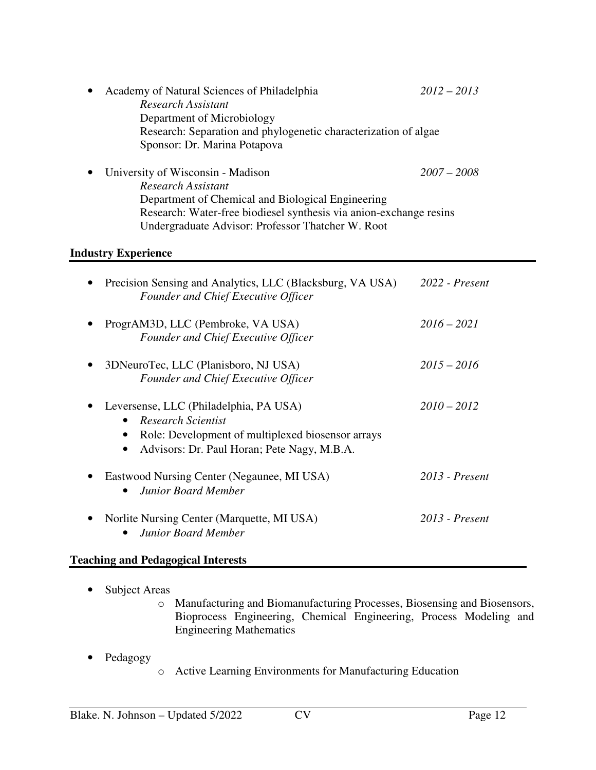| Academy of Natural Sciences of Philadelphia                        | $2012 - 2013$ |
|--------------------------------------------------------------------|---------------|
| Research Assistant                                                 |               |
| Department of Microbiology                                         |               |
| Research: Separation and phylogenetic characterization of algae    |               |
| Sponsor: Dr. Marina Potapova                                       |               |
| University of Wisconsin - Madison                                  | $2007 - 2008$ |
| Research Assistant                                                 |               |
| Department of Chemical and Biological Engineering                  |               |
| Research: Water-free biodiesel synthesis via anion-exchange resins |               |
| Undergraduate Advisor: Professor Thatcher W. Root                  |               |

# **Industry Experience**

| Precision Sensing and Analytics, LLC (Blacksburg, VA USA)<br>Founder and Chief Executive Officer                                                                 | 2022 - Present   |
|------------------------------------------------------------------------------------------------------------------------------------------------------------------|------------------|
| ProgrAM3D, LLC (Pembroke, VA USA)<br>Founder and Chief Executive Officer                                                                                         | $2016 - 2021$    |
| 3DNeuroTec, LLC (Planisboro, NJ USA)<br><b>Founder and Chief Executive Officer</b>                                                                               | $2015 - 2016$    |
| Leversense, LLC (Philadelphia, PA USA)<br>Research Scientist<br>Role: Development of multiplexed biosensor arrays<br>Advisors: Dr. Paul Horan; Pete Nagy, M.B.A. | $2010 - 2012$    |
| Eastwood Nursing Center (Negaunee, MI USA)<br><b>Junior Board Member</b>                                                                                         | $2013$ - Present |
| Norlite Nursing Center (Marquette, MI USA)<br><b>Junior Board Member</b>                                                                                         | $2013$ - Present |

# **Teaching and Pedagogical Interests**

- Subject Areas
	- o Manufacturing and Biomanufacturing Processes, Biosensing and Biosensors, Bioprocess Engineering, Chemical Engineering, Process Modeling and Engineering Mathematics
- Pedagogy o Active Learning Environments for Manufacturing Education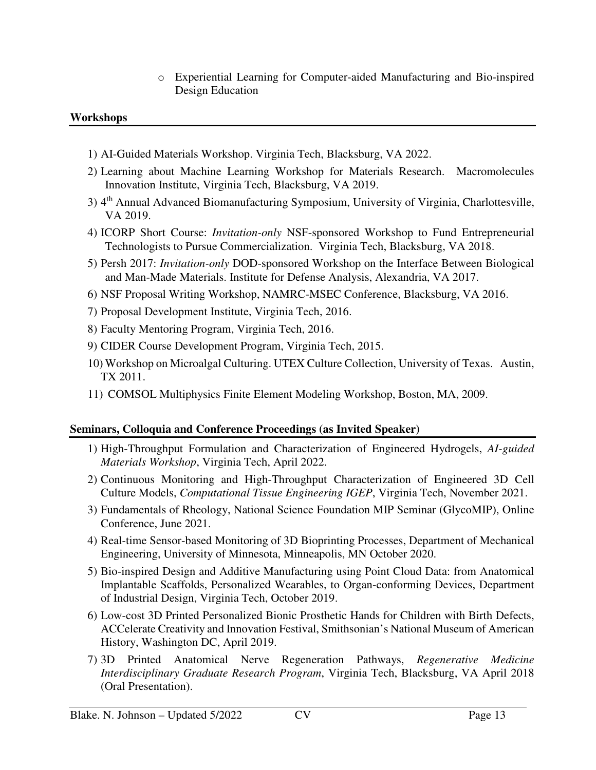o Experiential Learning for Computer-aided Manufacturing and Bio-inspired Design Education

#### **Workshops**

- 1) AI-Guided Materials Workshop. Virginia Tech, Blacksburg, VA 2022.
- 2) Learning about Machine Learning Workshop for Materials Research. Macromolecules Innovation Institute, Virginia Tech, Blacksburg, VA 2019.
- 3) 4<sup>th</sup> Annual Advanced Biomanufacturing Symposium, University of Virginia, Charlottesville, VA 2019.
- 4) ICORP Short Course: *Invitation-only* NSF-sponsored Workshop to Fund Entrepreneurial Technologists to Pursue Commercialization. Virginia Tech, Blacksburg, VA 2018.
- 5) Persh 2017: *Invitation-only* DOD-sponsored Workshop on the Interface Between Biological and Man-Made Materials. Institute for Defense Analysis, Alexandria, VA 2017.
- 6) NSF Proposal Writing Workshop, NAMRC-MSEC Conference, Blacksburg, VA 2016.
- 7) Proposal Development Institute, Virginia Tech, 2016.
- 8) Faculty Mentoring Program, Virginia Tech, 2016.
- 9) CIDER Course Development Program, Virginia Tech, 2015.
- 10) Workshop on Microalgal Culturing. UTEX Culture Collection, University of Texas. Austin, TX 2011.
- 11) COMSOL Multiphysics Finite Element Modeling Workshop, Boston, MA, 2009.

# **Seminars, Colloquia and Conference Proceedings (as Invited Speaker)**

- 1) High-Throughput Formulation and Characterization of Engineered Hydrogels, *AI-guided Materials Workshop*, Virginia Tech, April 2022.
- 2) Continuous Monitoring and High-Throughput Characterization of Engineered 3D Cell Culture Models, *Computational Tissue Engineering IGEP*, Virginia Tech, November 2021.
- 3) Fundamentals of Rheology, National Science Foundation MIP Seminar (GlycoMIP), Online Conference, June 2021.
- 4) Real-time Sensor-based Monitoring of 3D Bioprinting Processes, Department of Mechanical Engineering, University of Minnesota, Minneapolis, MN October 2020.
- 5) Bio-inspired Design and Additive Manufacturing using Point Cloud Data: from Anatomical Implantable Scaffolds, Personalized Wearables, to Organ-conforming Devices, Department of Industrial Design, Virginia Tech, October 2019.
- 6) Low-cost 3D Printed Personalized Bionic Prosthetic Hands for Children with Birth Defects, ACCelerate Creativity and Innovation Festival, Smithsonian's National Museum of American History, Washington DC, April 2019.
- 7) 3D Printed Anatomical Nerve Regeneration Pathways, *Regenerative Medicine Interdisciplinary Graduate Research Program*, Virginia Tech, Blacksburg, VA April 2018 (Oral Presentation).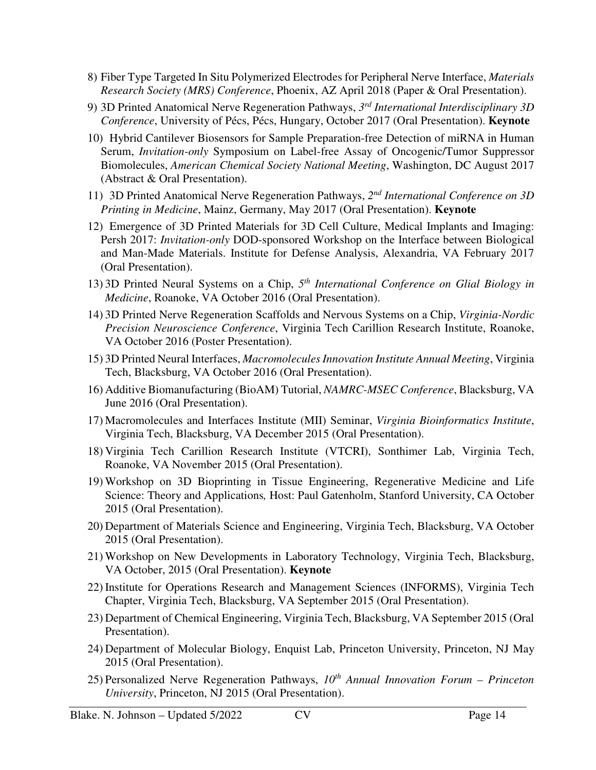- 8) Fiber Type Targeted In Situ Polymerized Electrodes for Peripheral Nerve Interface, *Materials Research Society (MRS) Conference*, Phoenix, AZ April 2018 (Paper & Oral Presentation).
- 9) 3D Printed Anatomical Nerve Regeneration Pathways, *3 rd International Interdisciplinary 3D Conference*, University of Pécs, Pécs, Hungary, October 2017 (Oral Presentation). **Keynote**
- 10) Hybrid Cantilever Biosensors for Sample Preparation-free Detection of miRNA in Human Serum, *Invitation-only* Symposium on Label-free Assay of Oncogenic/Tumor Suppressor Biomolecules, *American Chemical Society National Meeting*, Washington, DC August 2017 (Abstract & Oral Presentation).
- 11) 3D Printed Anatomical Nerve Regeneration Pathways, 2<sup>nd</sup> International Conference on 3D *Printing in Medicine*, Mainz, Germany, May 2017 (Oral Presentation). **Keynote**
- 12) Emergence of 3D Printed Materials for 3D Cell Culture, Medical Implants and Imaging: Persh 2017: *Invitation-only* DOD-sponsored Workshop on the Interface between Biological and Man-Made Materials. Institute for Defense Analysis, Alexandria, VA February 2017 (Oral Presentation).
- 13) 3D Printed Neural Systems on a Chip,  $5<sup>th</sup> International Conference on Glial Biology in$ *Medicine*, Roanoke, VA October 2016 (Oral Presentation).
- 14) 3D Printed Nerve Regeneration Scaffolds and Nervous Systems on a Chip, *Virginia-Nordic Precision Neuroscience Conference*, Virginia Tech Carillion Research Institute, Roanoke, VA October 2016 (Poster Presentation).
- 15) 3D Printed Neural Interfaces, *Macromolecules Innovation Institute Annual Meeting*, Virginia Tech, Blacksburg, VA October 2016 (Oral Presentation).
- 16) Additive Biomanufacturing (BioAM) Tutorial, *NAMRC-MSEC Conference*, Blacksburg, VA June 2016 (Oral Presentation).
- 17) Macromolecules and Interfaces Institute (MII) Seminar, *Virginia Bioinformatics Institute*, Virginia Tech, Blacksburg, VA December 2015 (Oral Presentation).
- 18) Virginia Tech Carillion Research Institute (VTCRI), Sonthimer Lab, Virginia Tech, Roanoke, VA November 2015 (Oral Presentation).
- 19) Workshop on 3D Bioprinting in Tissue Engineering, Regenerative Medicine and Life Science: Theory and Applications*,* Host: Paul Gatenholm, Stanford University, CA October 2015 (Oral Presentation).
- 20) Department of Materials Science and Engineering, Virginia Tech, Blacksburg, VA October 2015 (Oral Presentation).
- 21) Workshop on New Developments in Laboratory Technology, Virginia Tech, Blacksburg, VA October, 2015 (Oral Presentation). **Keynote**
- 22) Institute for Operations Research and Management Sciences (INFORMS), Virginia Tech Chapter, Virginia Tech, Blacksburg, VA September 2015 (Oral Presentation).
- 23) Department of Chemical Engineering, Virginia Tech, Blacksburg, VA September 2015 (Oral Presentation).
- 24) Department of Molecular Biology, Enquist Lab, Princeton University, Princeton, NJ May 2015 (Oral Presentation).
- 25) Personalized Nerve Regeneration Pathways, *10th Annual Innovation Forum Princeton University*, Princeton, NJ 2015 (Oral Presentation).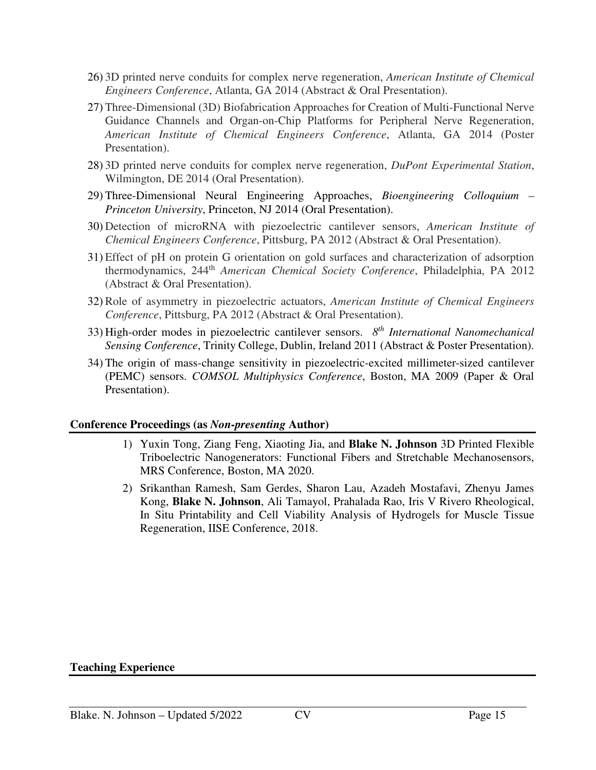- 26) 3D printed nerve conduits for complex nerve regeneration, *American Institute of Chemical Engineers Conference*, Atlanta, GA 2014 (Abstract & Oral Presentation).
- 27) Three-Dimensional (3D) Biofabrication Approaches for Creation of Multi-Functional Nerve Guidance Channels and Organ-on-Chip Platforms for Peripheral Nerve Regeneration, *American Institute of Chemical Engineers Conference*, Atlanta, GA 2014 (Poster Presentation).
- 28) 3D printed nerve conduits for complex nerve regeneration, *DuPont Experimental Station*, Wilmington, DE 2014 (Oral Presentation).
- 29) Three-Dimensional Neural Engineering Approaches, *Bioengineering Colloquium Princeton University*, Princeton, NJ 2014 (Oral Presentation).
- 30) Detection of microRNA with piezoelectric cantilever sensors, *American Institute of Chemical Engineers Conference*, Pittsburg, PA 2012 (Abstract & Oral Presentation).
- 31) Effect of pH on protein G orientation on gold surfaces and characterization of adsorption thermodynamics, 244th *American Chemical Society Conference*, Philadelphia, PA 2012 (Abstract & Oral Presentation).
- 32) Role of asymmetry in piezoelectric actuators, *American Institute of Chemical Engineers Conference*, Pittsburg, PA 2012 (Abstract & Oral Presentation).
- 33) High-order modes in piezoelectric cantilever sensors. *8th International Nanomechanical Sensing Conference*, Trinity College, Dublin, Ireland 2011 (Abstract & Poster Presentation).
- 34) The origin of mass-change sensitivity in piezoelectric-excited millimeter-sized cantilever (PEMC) sensors. *COMSOL Multiphysics Conference*, Boston, MA 2009 (Paper & Oral Presentation).

#### **Conference Proceedings (as** *Non-presenting* **Author)**

- 1) Yuxin Tong, Ziang Feng, Xiaoting Jia, and **Blake N. Johnson** 3D Printed Flexible Triboelectric Nanogenerators: Functional Fibers and Stretchable Mechanosensors, MRS Conference, Boston, MA 2020.
- 2) Srikanthan Ramesh, Sam Gerdes, Sharon Lau, Azadeh Mostafavi, Zhenyu James Kong, **Blake N. Johnson**, Ali Tamayol, Prahalada Rao, Iris V Rivero Rheological, In Situ Printability and Cell Viability Analysis of Hydrogels for Muscle Tissue Regeneration, IISE Conference, 2018.

#### **Teaching Experience**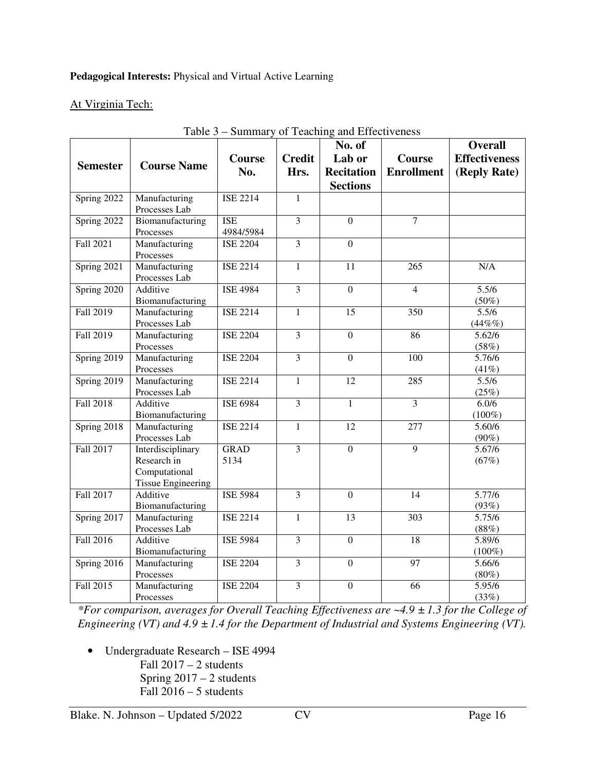# **Pedagogical Interests:** Physical and Virtual Active Learning

# At Virginia Tech:

|                  | Tavit J                                 |                 |                         | $-$ Summary or Teaching and Effectiveness |                   |                             |
|------------------|-----------------------------------------|-----------------|-------------------------|-------------------------------------------|-------------------|-----------------------------|
|                  |                                         |                 |                         | No. of                                    |                   | <b>Overall</b>              |
|                  |                                         | <b>Course</b>   | <b>Credit</b>           | Lab or                                    | Course            | <b>Effectiveness</b>        |
| <b>Semester</b>  | <b>Course Name</b>                      | No.             | Hrs.                    | <b>Recitation</b>                         | <b>Enrollment</b> | (Reply Rate)                |
|                  |                                         |                 |                         | <b>Sections</b>                           |                   |                             |
| Spring 2022      | Manufacturing                           | <b>ISE 2214</b> | $\mathbf{1}$            |                                           |                   |                             |
|                  | Processes Lab                           |                 |                         |                                           |                   |                             |
| Spring 2022      | Biomanufacturing                        | <b>ISE</b>      | $\overline{3}$          | $\mathbf{0}$                              | $\overline{7}$    |                             |
|                  | Processes                               | 4984/5984       |                         |                                           |                   |                             |
| Fall 2021        | Manufacturing                           | <b>ISE 2204</b> | $\overline{3}$          | $\overline{0}$                            |                   |                             |
|                  | Processes                               |                 |                         |                                           |                   |                             |
| Spring 2021      | Manufacturing                           | <b>ISE 2214</b> | $\mathbf{1}$            | $\overline{11}$                           | $\overline{265}$  | N/A                         |
|                  | Processes Lab                           |                 |                         |                                           |                   |                             |
| Spring 2020      | Additive                                | <b>ISE 4984</b> | $\overline{3}$          | $\overline{0}$                            | $\overline{4}$    | 5.5/6                       |
|                  | Biomanufacturing                        |                 |                         |                                           |                   | $(50\%)$                    |
| Fall 2019        | Manufacturing                           | <b>ISE 2214</b> | $\mathbf{1}$            | 15                                        | 350               | 5.5/6                       |
|                  | Processes Lab                           |                 |                         |                                           |                   | $(44\%%$                    |
| Fall 2019        | Manufacturing                           | <b>ISE 2204</b> | $\overline{\mathbf{3}}$ | $\mathbf{0}$                              | 86                | 5.62/6                      |
|                  | Processes                               |                 |                         |                                           |                   | (58%)                       |
| Spring 2019      | Manufacturing                           | <b>ISE 2204</b> | $\overline{3}$          | $\overline{0}$                            | 100               | 5.76/6                      |
|                  | Processes                               |                 |                         |                                           |                   | (41%)                       |
| Spring 2019      | Manufacturing                           | <b>ISE 2214</b> | $\mathbf{1}$            | 12                                        | 285               | 5.5/6                       |
|                  | Processes Lab                           |                 |                         |                                           |                   | (25%)                       |
| <b>Fall 2018</b> | Additive                                | <b>ISE 6984</b> | $\overline{3}$          | 1                                         | $\overline{3}$    | 6.0/6                       |
|                  | Biomanufacturing                        |                 |                         |                                           |                   | $(100\%)$                   |
| Spring 2018      | Manufacturing                           | <b>ISE 2214</b> | $\mathbf{1}$            | $\overline{12}$                           | $\overline{277}$  | 5.60/6                      |
|                  | Processes Lab                           |                 |                         |                                           |                   | $(90\%)$                    |
| Fall 2017        | Interdisciplinary                       | <b>GRAD</b>     | $\overline{3}$          | $\overline{0}$                            | $\overline{9}$    | 5.67/6                      |
|                  | Research in                             | 5134            |                         |                                           |                   | (67%)                       |
|                  | Computational                           |                 |                         |                                           |                   |                             |
|                  | <b>Tissue Engineering</b>               |                 |                         |                                           |                   |                             |
| Fall 2017        | Additive                                | <b>ISE 5984</b> | $\overline{3}$          | $\overline{0}$                            | $\overline{14}$   | 5.77/6                      |
|                  | Biomanufacturing                        |                 |                         |                                           |                   | (93%)                       |
| Spring 2017      | Manufacturing                           | <b>ISE 2214</b> | $\mathbf{1}$            | 13                                        | 303               | 5.75/6                      |
|                  | Processes Lab                           |                 | $\overline{3}$          |                                           |                   | (88%)                       |
| Fall 2016        | Additive                                | <b>ISE 5984</b> |                         | $\mathbf{0}$                              | 18                | 5.89/6                      |
|                  | Biomanufacturing<br>Manufacturing       | <b>ISE 2204</b> | $\overline{\mathbf{3}}$ | $\boldsymbol{0}$                          | 97                | $(100\%)$<br>5.66/6         |
| Spring 2016      |                                         |                 |                         |                                           |                   |                             |
|                  |                                         |                 |                         |                                           |                   |                             |
|                  |                                         |                 |                         |                                           |                   |                             |
| Fall 2015        | Processes<br>Manufacturing<br>Processes | <b>ISE 2204</b> | $\overline{\mathbf{3}}$ | $\boldsymbol{0}$                          | 66                | $(80\%)$<br>5.95/6<br>(33%) |

# Table 3 – Summary of Teaching and Effectiveness

*\*For comparison, averages for Overall Teaching Effectiveness are ~4.9 ± 1.3 for the College of Engineering (VT) and 4.9 ± 1.4 for the Department of Industrial and Systems Engineering (VT).* 

• Undergraduate Research – ISE 4994 Fall 2017 – 2 students Spring 2017 – 2 students Fall  $2016 - 5$  students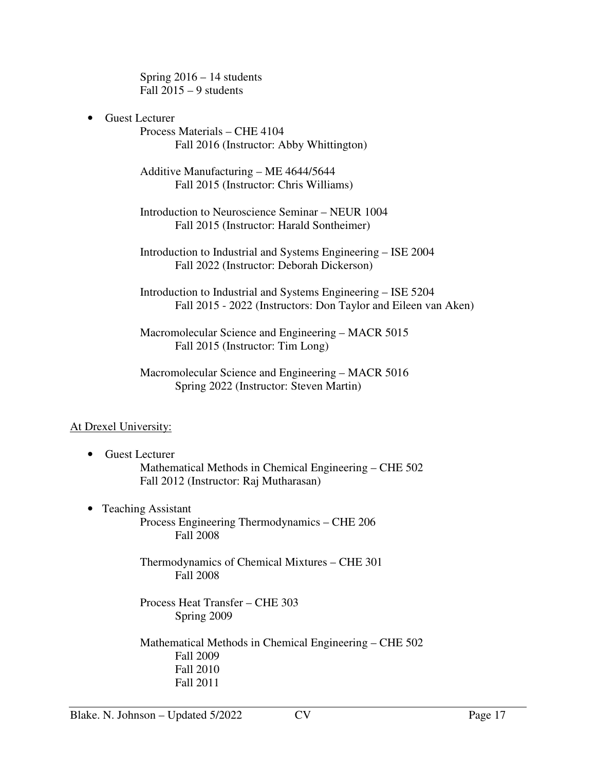Spring 2016 – 14 students Fall  $2015 - 9$  students

• Guest Lecturer

Process Materials – CHE 4104 Fall 2016 (Instructor: Abby Whittington)

Additive Manufacturing – ME 4644/5644 Fall 2015 (Instructor: Chris Williams)

Introduction to Neuroscience Seminar – NEUR 1004 Fall 2015 (Instructor: Harald Sontheimer)

Introduction to Industrial and Systems Engineering – ISE 2004 Fall 2022 (Instructor: Deborah Dickerson)

Introduction to Industrial and Systems Engineering – ISE 5204 Fall 2015 - 2022 (Instructors: Don Taylor and Eileen van Aken)

Macromolecular Science and Engineering – MACR 5015 Fall 2015 (Instructor: Tim Long)

Macromolecular Science and Engineering – MACR 5016 Spring 2022 (Instructor: Steven Martin)

# At Drexel University:

- Guest Lecturer Mathematical Methods in Chemical Engineering – CHE 502 Fall 2012 (Instructor: Raj Mutharasan)
- Teaching Assistant Process Engineering Thermodynamics – CHE 206 Fall 2008

Thermodynamics of Chemical Mixtures – CHE 301 Fall 2008

Process Heat Transfer – CHE 303 Spring 2009

Mathematical Methods in Chemical Engineering – CHE 502 Fall 2009 Fall 2010 Fall 2011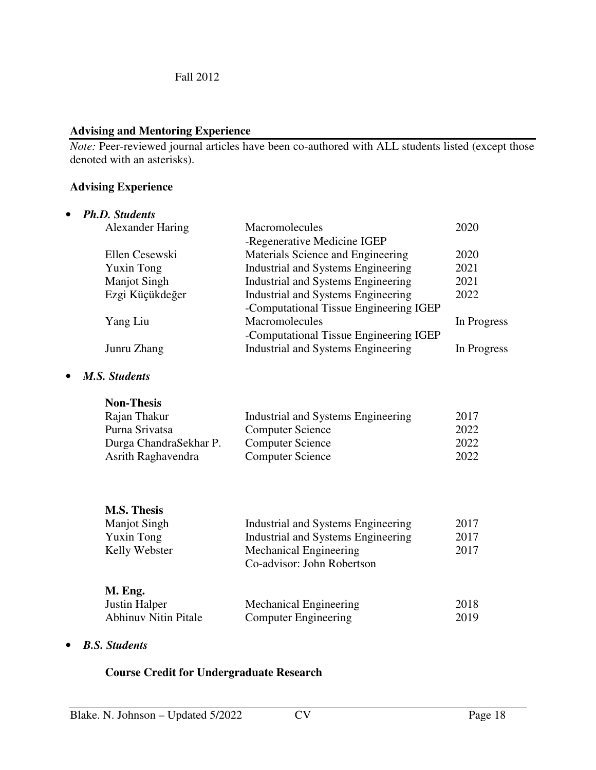## **Advising and Mentoring Experience**

*Note:* Peer-reviewed journal articles have been co-authored with ALL students listed (except those denoted with an asterisks).

## **Advising Experience**

| <b>Ph.D. Students</b>   |                                           |             |
|-------------------------|-------------------------------------------|-------------|
| <b>Alexander Haring</b> | Macromolecules                            | 2020        |
|                         | -Regenerative Medicine IGEP               |             |
| Ellen Cesewski          | Materials Science and Engineering         | 2020        |
| <b>Yuxin Tong</b>       | Industrial and Systems Engineering        | 2021        |
| <b>Manjot Singh</b>     | Industrial and Systems Engineering        | 2021        |
| Ezgi Küçükdeğer         | <b>Industrial and Systems Engineering</b> | 2022        |
|                         | -Computational Tissue Engineering IGEP    |             |
| Yang Liu                | Macromolecules                            | In Progress |
|                         | -Computational Tissue Engineering IGEP    |             |
| Junru Zhang             | Industrial and Systems Engineering        | In Progress |

## • *M.S. Students*

| <b>Non-Thesis</b>      |                                    |      |
|------------------------|------------------------------------|------|
| Rajan Thakur           | Industrial and Systems Engineering | 2017 |
| Purna Srivatsa         | <b>Computer Science</b>            | 2022 |
| Durga ChandraSekhar P. | <b>Computer Science</b>            | 2022 |
| Asrith Raghavendra     | <b>Computer Science</b>            | 2022 |

| <b>M.S. Thesis</b>  |                                    |       |
|---------------------|------------------------------------|-------|
| <b>Manjot Singh</b> | Industrial and Systems Engineering | 2017  |
| <b>Yuxin Tong</b>   | Industrial and Systems Engineering | 2017  |
| Kelly Webster       | Mechanical Engineering             | 2017  |
|                     | Co-advisor: John Robertson         |       |
| M. Eng.             |                                    |       |
| $T \rightarrow 1$   | 171 ' Im                           | 0.010 |

| <b>Justin Halper</b>        | Mechanical Engineering | 2018 |
|-----------------------------|------------------------|------|
| <b>Abhinuv Nitin Pitale</b> | Computer Engineering   | 2019 |

#### • *B.S. Students*

## **Course Credit for Undergraduate Research**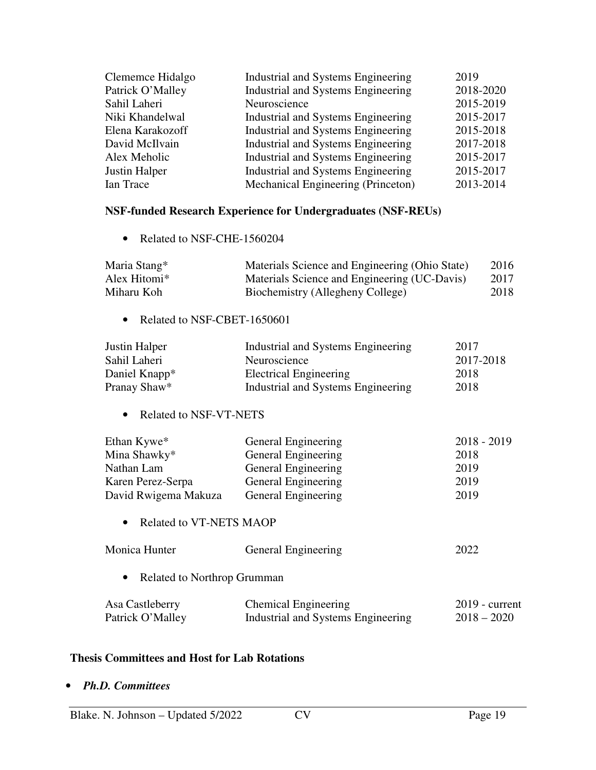| Clememce Hidalgo | Industrial and Systems Engineering | 2019      |
|------------------|------------------------------------|-----------|
| Patrick O'Malley | Industrial and Systems Engineering | 2018-2020 |
| Sahil Laheri     | Neuroscience                       | 2015-2019 |
| Niki Khandelwal  | Industrial and Systems Engineering | 2015-2017 |
| Elena Karakozoff | Industrial and Systems Engineering | 2015-2018 |
| David McIlvain   | Industrial and Systems Engineering | 2017-2018 |
| Alex Meholic     | Industrial and Systems Engineering | 2015-2017 |
| Justin Halper    | Industrial and Systems Engineering | 2015-2017 |
| Ian Trace        | Mechanical Engineering (Princeton) | 2013-2014 |

# **NSF-funded Research Experience for Undergraduates (NSF-REUs)**

• Related to NSF-CHE-1560204

| Maria Stang*             | Materials Science and Engineering (Ohio State) | 2016 |
|--------------------------|------------------------------------------------|------|
| Alex Hitomi <sup>*</sup> | Materials Science and Engineering (UC-Davis)   | 2017 |
| Miharu Koh               | Biochemistry (Allegheny College)               | 2018 |

• Related to NSF-CBET-1650601

| Justin Halper             | Industrial and Systems Engineering | 2017      |
|---------------------------|------------------------------------|-----------|
| Sahil Laheri              | Neuroscience                       | 2017-2018 |
| Daniel Knapp <sup>*</sup> | <b>Electrical Engineering</b>      | 2018      |
| Pranay Shaw*              | Industrial and Systems Engineering | 2018      |

• Related to NSF-VT-NETS

| Ethan Kywe <sup>*</sup> | General Engineering | $2018 - 2019$ |
|-------------------------|---------------------|---------------|
| Mina Shawky*            | General Engineering | 2018          |
| Nathan Lam              | General Engineering | 2019          |
| Karen Perez-Serpa       | General Engineering | 2019          |
| David Rwigema Makuza    | General Engineering | 2019          |

• Related to VT-NETS MAOP

| Monica Hunter | General Engineering | 2022 |
|---------------|---------------------|------|
|               |                     |      |

• Related to Northrop Grumman

| Asa Castleberry  | <b>Chemical Engineering</b>        | $2019$ - current |
|------------------|------------------------------------|------------------|
| Patrick O'Malley | Industrial and Systems Engineering | $2018 - 2020$    |

#### **Thesis Committees and Host for Lab Rotations**

• *Ph.D. Committees*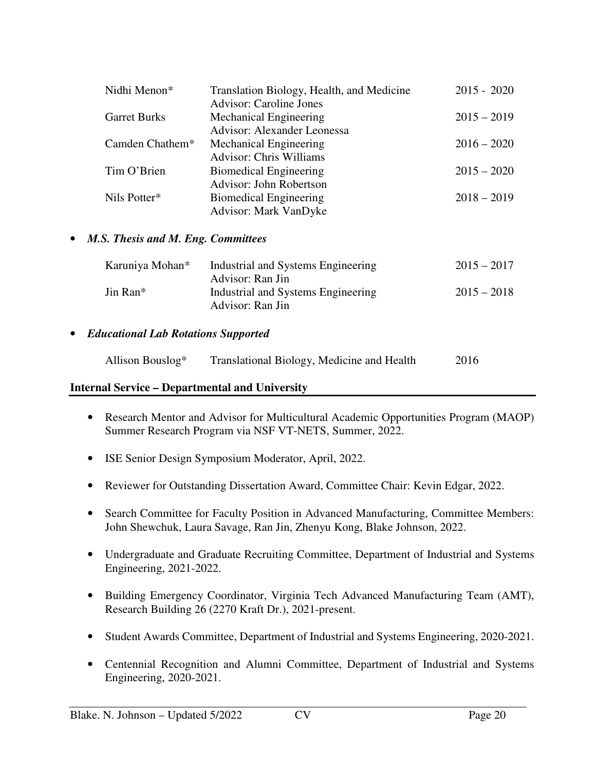| Nidhi Menon*                         | Translation Biology, Health, and Medicine | $2015 - 2020$ |  |
|--------------------------------------|-------------------------------------------|---------------|--|
|                                      | <b>Advisor: Caroline Jones</b>            |               |  |
| <b>Garret Burks</b>                  | Mechanical Engineering                    | $2015 - 2019$ |  |
|                                      | Advisor: Alexander Leonessa               |               |  |
| Camden Chathem $*$                   | <b>Mechanical Engineering</b>             | $2016 - 2020$ |  |
|                                      | <b>Advisor: Chris Williams</b>            |               |  |
| Tim O'Brien                          | <b>Biomedical Engineering</b>             | $2015 - 2020$ |  |
|                                      | Advisor: John Robertson                   |               |  |
| Nils Potter*                         | <b>Biomedical Engineering</b>             | $2018 - 2019$ |  |
|                                      | <b>Advisor: Mark VanDyke</b>              |               |  |
|                                      |                                           |               |  |
| • M.S. Thesis and M. Eng. Committees |                                           |               |  |

| Karuniya Mohan*      | Industrial and Systems Engineering                     | $2015 - 2017$ |
|----------------------|--------------------------------------------------------|---------------|
| Jin Ran <sup>*</sup> | Advisor: Ran Jin<br>Industrial and Systems Engineering | $2015 - 2018$ |
|                      | Advisor: Ran Jin                                       |               |

## • *Educational Lab Rotations Supported*

| Allison Bouslog* | Translational Biology, Medicine and Health | 2016 |
|------------------|--------------------------------------------|------|
|                  |                                            |      |

# **Internal Service – Departmental and University**

- Research Mentor and Advisor for Multicultural Academic Opportunities Program (MAOP) Summer Research Program via NSF VT-NETS, Summer, 2022.
- ISE Senior Design Symposium Moderator, April, 2022.
- Reviewer for Outstanding Dissertation Award, Committee Chair: Kevin Edgar, 2022.
- Search Committee for Faculty Position in Advanced Manufacturing, Committee Members: John Shewchuk, Laura Savage, Ran Jin, Zhenyu Kong, Blake Johnson, 2022.
- Undergraduate and Graduate Recruiting Committee, Department of Industrial and Systems Engineering, 2021-2022.
- Building Emergency Coordinator, Virginia Tech Advanced Manufacturing Team (AMT), Research Building 26 (2270 Kraft Dr.), 2021-present.
- Student Awards Committee, Department of Industrial and Systems Engineering, 2020-2021.
- Centennial Recognition and Alumni Committee, Department of Industrial and Systems Engineering, 2020-2021.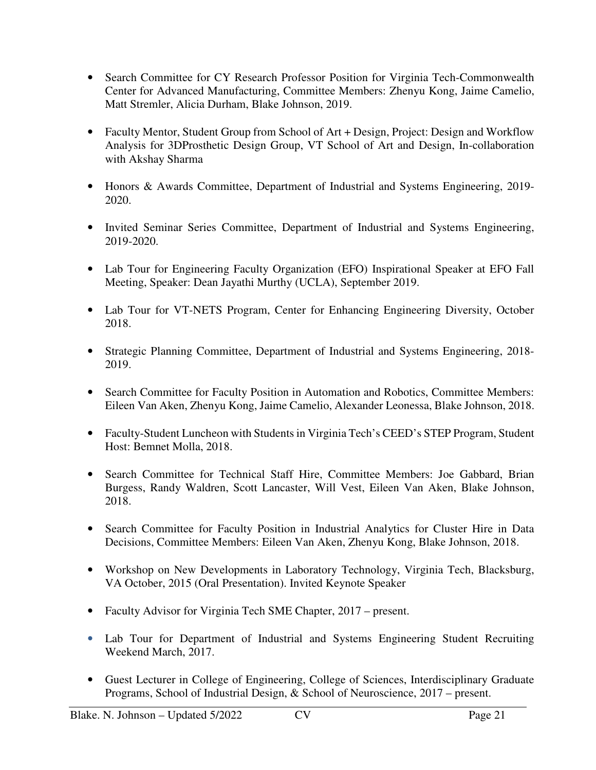- Search Committee for CY Research Professor Position for Virginia Tech-Commonwealth Center for Advanced Manufacturing, Committee Members: Zhenyu Kong, Jaime Camelio, Matt Stremler, Alicia Durham, Blake Johnson, 2019.
- Faculty Mentor, Student Group from School of Art + Design, Project: Design and Workflow Analysis for 3DProsthetic Design Group, VT School of Art and Design, In-collaboration with Akshay Sharma
- Honors & Awards Committee, Department of Industrial and Systems Engineering, 2019- 2020.
- Invited Seminar Series Committee, Department of Industrial and Systems Engineering, 2019-2020.
- Lab Tour for Engineering Faculty Organization (EFO) Inspirational Speaker at EFO Fall Meeting, Speaker: Dean Jayathi Murthy (UCLA), September 2019.
- Lab Tour for VT-NETS Program, Center for Enhancing Engineering Diversity, October 2018.
- Strategic Planning Committee, Department of Industrial and Systems Engineering, 2018- 2019.
- Search Committee for Faculty Position in Automation and Robotics, Committee Members: Eileen Van Aken, Zhenyu Kong, Jaime Camelio, Alexander Leonessa, Blake Johnson, 2018.
- Faculty-Student Luncheon with Students in Virginia Tech's CEED's STEP Program, Student Host: Bemnet Molla, 2018.
- Search Committee for Technical Staff Hire, Committee Members: Joe Gabbard, Brian Burgess, Randy Waldren, Scott Lancaster, Will Vest, Eileen Van Aken, Blake Johnson, 2018.
- Search Committee for Faculty Position in Industrial Analytics for Cluster Hire in Data Decisions, Committee Members: Eileen Van Aken, Zhenyu Kong, Blake Johnson, 2018.
- Workshop on New Developments in Laboratory Technology, Virginia Tech, Blacksburg, VA October, 2015 (Oral Presentation). Invited Keynote Speaker
- Faculty Advisor for Virginia Tech SME Chapter, 2017 present.
- Lab Tour for Department of Industrial and Systems Engineering Student Recruiting Weekend March, 2017.
- Guest Lecturer in College of Engineering, College of Sciences, Interdisciplinary Graduate Programs, School of Industrial Design, & School of Neuroscience, 2017 – present.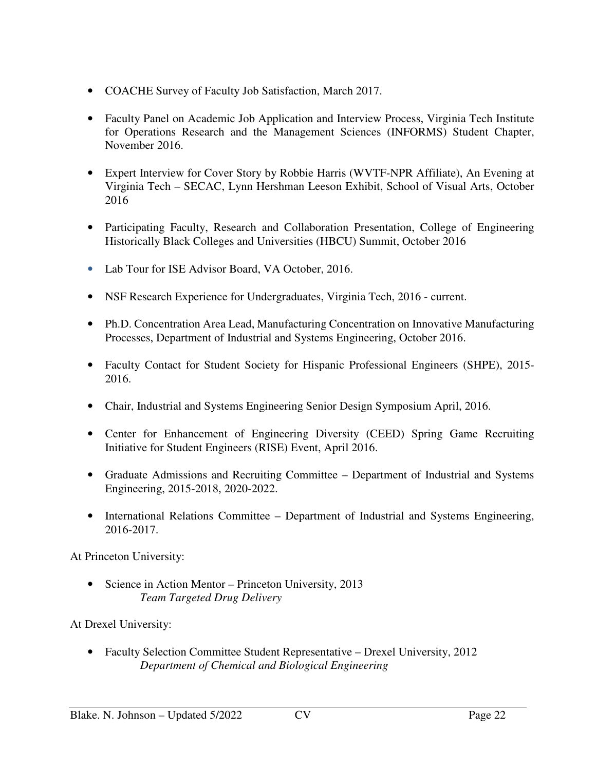- COACHE Survey of Faculty Job Satisfaction, March 2017.
- Faculty Panel on Academic Job Application and Interview Process, Virginia Tech Institute for Operations Research and the Management Sciences (INFORMS) Student Chapter, November 2016.
- Expert Interview for Cover Story by Robbie Harris (WVTF-NPR Affiliate), An Evening at Virginia Tech – SECAC, Lynn Hershman Leeson Exhibit, School of Visual Arts, October 2016
- Participating Faculty, Research and Collaboration Presentation, College of Engineering Historically Black Colleges and Universities (HBCU) Summit, October 2016
- Lab Tour for ISE Advisor Board, VA October, 2016.
- NSF Research Experience for Undergraduates, Virginia Tech, 2016 current.
- Ph.D. Concentration Area Lead, Manufacturing Concentration on Innovative Manufacturing Processes, Department of Industrial and Systems Engineering, October 2016.
- Faculty Contact for Student Society for Hispanic Professional Engineers (SHPE), 2015- 2016.
- Chair, Industrial and Systems Engineering Senior Design Symposium April, 2016.
- Center for Enhancement of Engineering Diversity (CEED) Spring Game Recruiting Initiative for Student Engineers (RISE) Event, April 2016.
- Graduate Admissions and Recruiting Committee Department of Industrial and Systems Engineering, 2015-2018, 2020-2022.
- International Relations Committee Department of Industrial and Systems Engineering, 2016-2017.

At Princeton University:

• Science in Action Mentor – Princeton University, 2013 *Team Targeted Drug Delivery* 

At Drexel University:

• Faculty Selection Committee Student Representative – Drexel University, 2012 *Department of Chemical and Biological Engineering*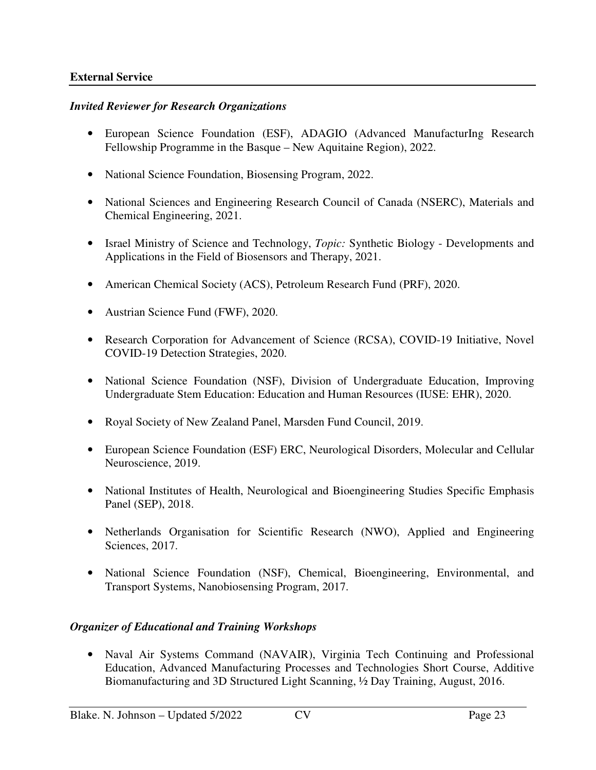## **External Service**

#### *Invited Reviewer for Research Organizations*

- European Science Foundation (ESF), ADAGIO (Advanced ManufacturIng Research Fellowship Programme in the Basque – New Aquitaine Region), 2022.
- National Science Foundation, Biosensing Program, 2022.
- National Sciences and Engineering Research Council of Canada (NSERC), Materials and Chemical Engineering, 2021.
- Israel Ministry of Science and Technology, *Topic:* Synthetic Biology Developments and Applications in the Field of Biosensors and Therapy, 2021.
- American Chemical Society (ACS), Petroleum Research Fund (PRF), 2020.
- Austrian Science Fund (FWF), 2020.
- Research Corporation for Advancement of Science (RCSA), COVID-19 Initiative, Novel COVID-19 Detection Strategies, 2020.
- National Science Foundation (NSF), Division of Undergraduate Education, Improving Undergraduate Stem Education: Education and Human Resources (IUSE: EHR), 2020.
- Royal Society of New Zealand Panel, Marsden Fund Council, 2019.
- European Science Foundation (ESF) ERC, Neurological Disorders, Molecular and Cellular Neuroscience, 2019.
- National Institutes of Health, Neurological and Bioengineering Studies Specific Emphasis Panel (SEP), 2018.
- Netherlands Organisation for Scientific Research (NWO), Applied and Engineering Sciences, 2017.
- National Science Foundation (NSF), Chemical, Bioengineering, Environmental, and Transport Systems, Nanobiosensing Program, 2017.

# *Organizer of Educational and Training Workshops*

• Naval Air Systems Command (NAVAIR), Virginia Tech Continuing and Professional Education, Advanced Manufacturing Processes and Technologies Short Course, Additive Biomanufacturing and 3D Structured Light Scanning, ½ Day Training, August, 2016.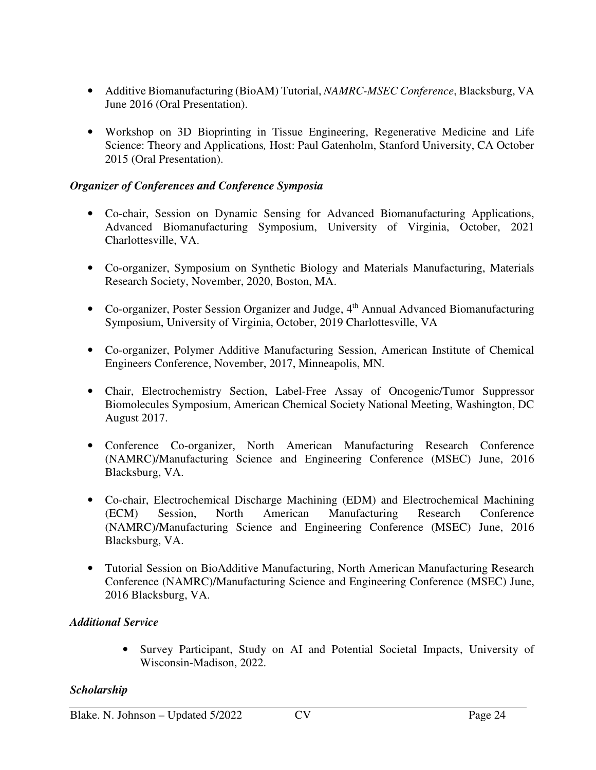- Additive Biomanufacturing (BioAM) Tutorial, *NAMRC-MSEC Conference*, Blacksburg, VA June 2016 (Oral Presentation).
- Workshop on 3D Bioprinting in Tissue Engineering, Regenerative Medicine and Life Science: Theory and Applications*,* Host: Paul Gatenholm, Stanford University, CA October 2015 (Oral Presentation).

# *Organizer of Conferences and Conference Symposia*

- Co-chair, Session on Dynamic Sensing for Advanced Biomanufacturing Applications, Advanced Biomanufacturing Symposium, University of Virginia, October, 2021 Charlottesville, VA.
- Co-organizer, Symposium on Synthetic Biology and Materials Manufacturing, Materials Research Society, November, 2020, Boston, MA.
- Co-organizer, Poster Session Organizer and Judge, 4<sup>th</sup> Annual Advanced Biomanufacturing Symposium, University of Virginia, October, 2019 Charlottesville, VA
- Co-organizer, Polymer Additive Manufacturing Session, American Institute of Chemical Engineers Conference, November, 2017, Minneapolis, MN.
- Chair, Electrochemistry Section, Label-Free Assay of Oncogenic/Tumor Suppressor Biomolecules Symposium, American Chemical Society National Meeting, Washington, DC August 2017.
- Conference Co-organizer, North American Manufacturing Research Conference (NAMRC)/Manufacturing Science and Engineering Conference (MSEC) June, 2016 Blacksburg, VA.
- Co-chair, Electrochemical Discharge Machining (EDM) and Electrochemical Machining (ECM) Session, North American Manufacturing Research Conference (NAMRC)/Manufacturing Science and Engineering Conference (MSEC) June, 2016 Blacksburg, VA.
- Tutorial Session on BioAdditive Manufacturing, North American Manufacturing Research Conference (NAMRC)/Manufacturing Science and Engineering Conference (MSEC) June, 2016 Blacksburg, VA.

# *Additional Service*

• Survey Participant, Study on AI and Potential Societal Impacts, University of Wisconsin-Madison, 2022.

# *Scholarship*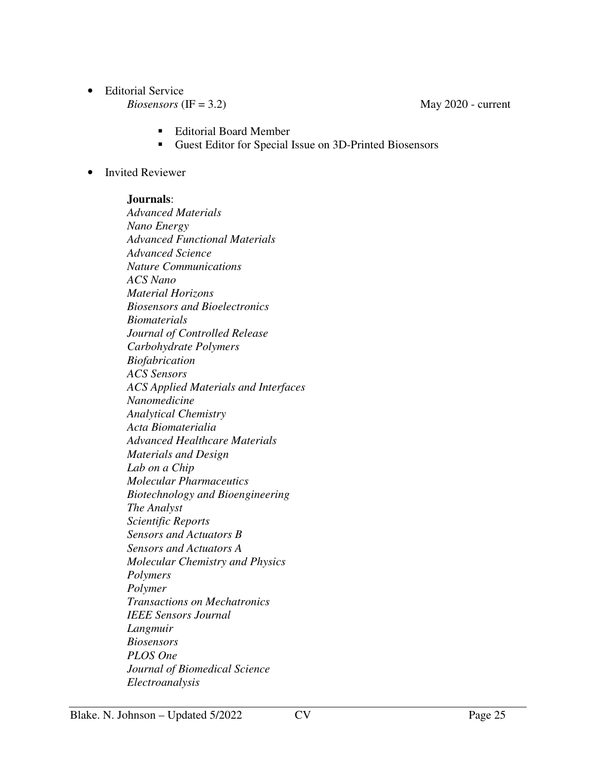• Editorial Service

 $Biosensors (IF = 3.2)$  May 2020 - current

- Editorial Board Member
- Guest Editor for Special Issue on 3D-Printed Biosensors
- Invited Reviewer

## **Journals**:

*Advanced Materials Nano Energy Advanced Functional Materials Advanced Science Nature Communications ACS Nano Material Horizons Biosensors and Bioelectronics Biomaterials Journal of Controlled Release Carbohydrate Polymers Biofabrication ACS Sensors ACS Applied Materials and Interfaces Nanomedicine Analytical Chemistry Acta Biomaterialia Advanced Healthcare Materials Materials and Design Lab on a Chip Molecular Pharmaceutics Biotechnology and Bioengineering The Analyst Scientific Reports Sensors and Actuators B Sensors and Actuators A Molecular Chemistry and Physics Polymers Polymer Transactions on Mechatronics IEEE Sensors Journal Langmuir Biosensors PLOS One Journal of Biomedical Science Electroanalysis*